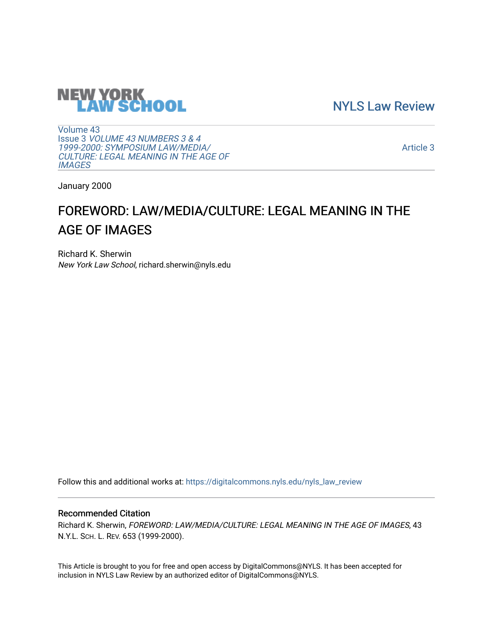

[NYLS Law Review](https://digitalcommons.nyls.edu/nyls_law_review) 

[Volume 43](https://digitalcommons.nyls.edu/nyls_law_review/vol43) Issue 3 [VOLUME 43 NUMBERS 3 & 4](https://digitalcommons.nyls.edu/nyls_law_review/vol43/iss3)  [1999-2000: SYMPOSIUM LAW/MEDIA/](https://digitalcommons.nyls.edu/nyls_law_review/vol43/iss3) [CULTURE: LEGAL MEANING IN THE AGE OF](https://digitalcommons.nyls.edu/nyls_law_review/vol43/iss3) **[IMAGES](https://digitalcommons.nyls.edu/nyls_law_review/vol43/iss3)** 

[Article 3](https://digitalcommons.nyls.edu/nyls_law_review/vol43/iss3/3) 

January 2000

# FOREWORD: LAW/MEDIA/CULTURE: LEGAL MEANING IN THE AGE OF IMAGES

Richard K. Sherwin New York Law School, richard.sherwin@nyls.edu

Follow this and additional works at: [https://digitalcommons.nyls.edu/nyls\\_law\\_review](https://digitalcommons.nyls.edu/nyls_law_review?utm_source=digitalcommons.nyls.edu%2Fnyls_law_review%2Fvol43%2Fiss3%2F3&utm_medium=PDF&utm_campaign=PDFCoverPages) 

## Recommended Citation

Richard K. Sherwin, FOREWORD: LAW/MEDIA/CULTURE: LEGAL MEANING IN THE AGE OF IMAGES, 43 N.Y.L. SCH. L. REV. 653 (1999-2000).

This Article is brought to you for free and open access by DigitalCommons@NYLS. It has been accepted for inclusion in NYLS Law Review by an authorized editor of DigitalCommons@NYLS.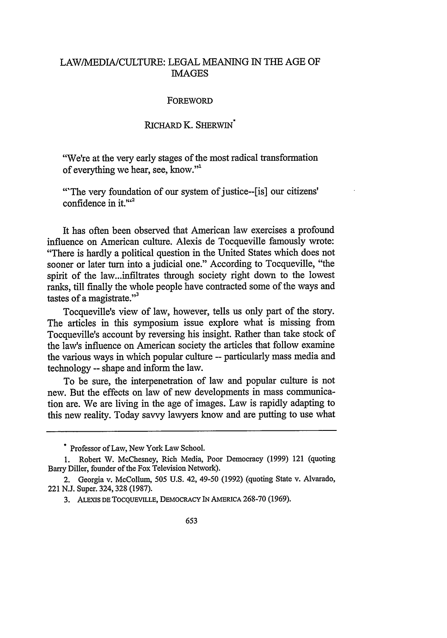## LAW/MEDIA/CULTURE: LEGAL MEANING IN THE AGE OF **IMAGES**

### **FOREWORD**

## RICHARD K. SHERWIN

"We're at the very early stages of the most radical transformation of everything we hear, see, know."1

'The very foundation of our system of justice--[is] our citizens' confidence in it. $164$ 

It has often been observed that American law exercises a profound influence on American culture. Alexis de Tocqueville famously wrote: "There is hardly a political question in the United States which does not sooner or later turn into a judicial one." According to Tocqueville, "the spirit of the law...infiltrates through society right down to the lowest ranks, till finally the whole people have contracted some of the ways and tastes of a magistrate. $"$ <sup>3</sup>

Tocqueville's view of law, however, tells us only part of the story. The articles in this symposium issue explore what is missing from Tocqueville's account by reversing his insight. Rather than take stock of the law's influence on American society the articles that follow examine the various ways in which popular culture -- particularly mass media and technology -- shape and inform the law.

To be sure, the interpenetration of law and popular culture is not new. But the effects on law of new developments in mass communication are. We are living in the age of images. Law is rapidly adapting to this new reality. Today savvy lawyers know and are putting to use what

<sup>&</sup>quot; Professor of Law, New York Law School.

**<sup>1.</sup>** Robert W. McChesney, Rich Media, Poor Democracy (1999) 121 (quoting Barry Diller, founder of the Fox Television Network).

<sup>2.</sup> Georgia v. McCollum, 505 U.S. 42, 49-50 (1992) (quoting State v. Alvarado, 221 N.J. Super. 324, 328 (1987).

**<sup>3.</sup> ALEXIS DE TOCQUEVILLE,** DEMOCRACY IN **AMERICA** 268-70 (1969).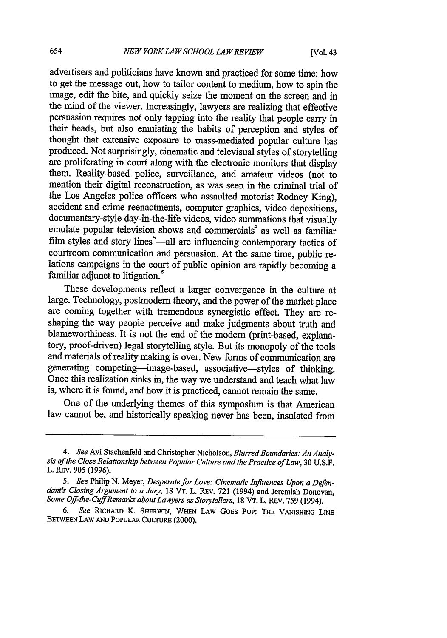advertisers and politicians have known and practiced for some time: how to get the message out, how to tailor content to medium, how to spin the image, edit the bite, and quickly seize the moment on the screen and in the mind of the viewer. Increasingly, lawyers are realizing that effective persuasion requires not only tapping into the reality that people carry in their heads, but also emulating the habits of perception and styles of thought that extensive exposure to mass-mediated popular culture has produced. Not surprisingly, cinematic and televisual styles of storytelling are proliferating in court along with the electronic monitors that display them. Reality-based police, surveillance, and amateur videos (not to mention their digital reconstruction, as was seen in the criminal trial of the Los Angeles police officers who assaulted motorist Rodney King), accident and crime reenactments, computer graphics, video depositions, documentary-style day-in-the-life videos, video summations that visually emulate popular television shows and commercials<sup>4</sup> as well as familiar film styles and story lines $\frac{1}{2}$ -all are influencing contemporary tactics of courtroom communication and persuasion. At the same time, public relations campaigns in the court of public opinion are rapidly becoming a familiar adjunct to litigation.<sup>6</sup>

These developments reflect a larger convergence in the culture at large. Technology, postmodem theory, and the power of the market place are coming together with tremendous synergistic effect. They are reshaping the way people perceive and make judgments about truth and blameworthiness. It is not the end of the modem (print-based, explanatory, proof-driven) legal storytelling style. But its monopoly of the tools and materials of reality making is over. New forms of communication are generating competing-image-based, associative-styles of thinking. Once this realization sinks in, the way we understand and teach what law is, where it is found, and how it is practiced, cannot remain the same.

One of the underlying themes of this symposium is that American law cannot be, and historically speaking never has been, insulated from

*<sup>4.</sup> See* Avi Stachenfeld and Christopher Nicholson, *Blurred Boundaries: An Analysis of the Close Relationship between Popular Culture and the Practice ofLaw,* 30 U.S.F. L. RBv. 905 (1996).

*<sup>5.</sup> See* Philip N. Meyer, *Desperate for Love: Cinematic Influences Upon a Defendant's Closing Argument to a Jury,* **18** VT. L. REV. 721 (1994) and Jeremiah Donovan, *Some Off-the-Cuff Remarks about Lawyers as Storytellers, 18 VT. L. REV. 759 (1994).* 

*<sup>6.</sup> See* RIcHARD K. SHERWIN, **WHEN LAW GOES** POP: **THE VANISHING LINE** BETvEEN **LAW AND PoPuLAR** CULTuRE (2000).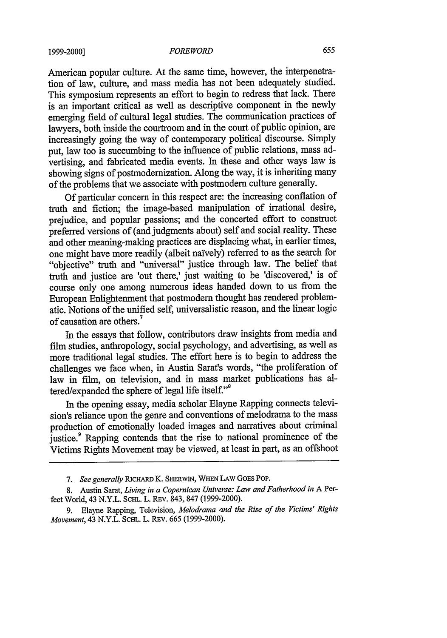#### *FOREWORD*

American popular culture. At the same time, however, the interpenetration of law, culture, and mass media has not been adequately studied. This symposium represents an effort to begin to redress that lack. There is an important critical as well as descriptive component in the newly emerging field of cultural legal studies. The communication practices of lawyers, both inside the courtroom and in the court of public opinion, are increasingly going the way of contemporary political discourse. Simply put, law too is succumbing to the influence of public relations, mass advertising, and fabricated media events. In these and other ways law is showing signs of postmodernization. Along the way, it is inheriting many of the problems that we associate with postmodern culture generally.

Of particular concern in this respect are: the increasing conflation of truth and fiction; the image-based manipulation of irrational desire, prejudice, and popular passions; and the concerted effort to construct preferred versions of (and judgments about) self and social reality. These and other meaning-making practices are displacing what, in earlier times, one might have more readily (albeit naïvely) referred to as the search for "objective" truth and "universal" justice through law. The belief that truth and justice are 'out there,' just waiting to be 'discovered,' is of course only one among numerous ideas handed down to us from the European Enlightenment that postmodern thought has rendered problematic. Notions of the unified self, universalistic reason, and the linear logic of causation are others.

In the essays that follow, contributors draw insights from media and film studies, anthropology, social psychology, and advertising, as well as more traditional legal studies. The effort here is to begin to address the challenges we face when, in Austin Sarat's words, "the proliferation of law in film, on television, and in mass market publications has altered/expanded the sphere of legal life itself."8

In the opening essay, media scholar Elayne Rapping connects television's reliance upon the genre and conventions of melodrama to the mass production of emotionally loaded images and narratives about criminal justice.<sup>9</sup> Rapping contends that the rise to national prominence of the Victims Rights Movement may be viewed, at least in part, as an offshoot

**<sup>7.</sup>** *See generally* RICHARD K. **SHERWIN, WHEN** LAW GOES Pop.

<sup>8.</sup> Austin Sarat, *Living in a Copernican Universe: Law and Fatherhood in* A Perfect World, 43 N.Y.L. **SCHL.** L. REv. 843, 847 (1999-2000).

<sup>9.</sup> Elayne Rapping, Television, *Melodrama and the Rise of the Victims' Rights Movement, 43 N.Y.L. SCHL. L. REV. 665 (1999-2000).*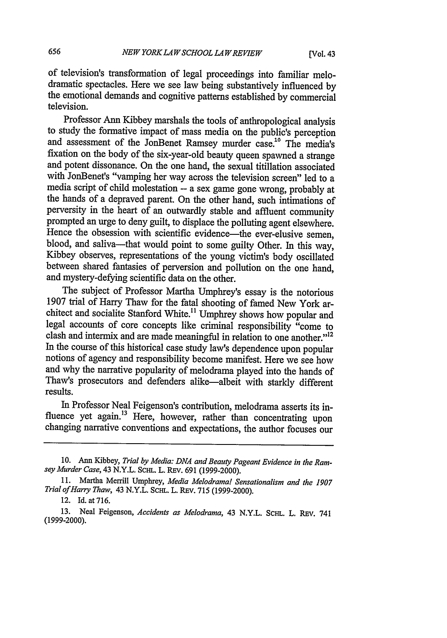of television's transformation of legal proceedings into familiar melothe emotional demands and cognitive patterns established by commercial television.

Professor Ann Kibbey marshals the tools of anthropological analysis to study the formative impact of mass media on the public's perception and assessment of the JonBenet Ramsey murder case.<sup>10</sup> The media's fixation on the body of the six-year-old beauty queen spawned a strange and potent dissonance. On the one hand, the sexual titillation associated with JonBenet's "vamping her way across the television screen" led to a media script of child molestation -- a sex game gone wrong, probably at the hands of a depraved parent. On the other hand, such intimations of perversity in the heart of an outwardly stable and affluent community prompted an urge to deny guilt, to displace the polluting agent elsewhere. Hence the obsession with scientific evidence—the ever-elusive semen, blood, and saliva—that would point to some guilty Other. In this way, Kibbey observes, representations of the young victim's body oscillated between shared fantasies of perversion and pollution on the one hand, and mystery-defying scientific data on the other.

The subject of Professor Martha Umphrey's essay is the notorious 1907 trial of Harry Thaw for the fatal shooting of famed New York architect and socialite Stanford White.<sup>11</sup> Umphrey shows how popular and legal accounts of core concepts like criminal responsibility "come to clash and intermix and are made meaningful in relation to one another." $12$ In the course of this historical case study law's dependence upon popular notions of agency and responsibility become manifest. Here we see how and why the narrative popularity of melodrama played into the hands of Thaw's prosecutors and defenders alike-albeit with starkly different results.

In Professor Neal Feigenson's contribution, melodrama asserts its influence yet again.<sup>13</sup> Here, however, rather than concentrating upon changing narrative conventions and expectations, the author focuses our

<sup>10.</sup> Ann Kibbey, *Trial by Media: DNA and Beauty Pageant Evidence in the Ramsey Murder Case,* 43 N.Y.L. **SCHL.** L. REv. 691 (1999-2000).

<sup>11.</sup> Martha Merrill Umphrey, *Media Melodrama! Sensationalism and the 1907 Trial of Harry Thaw,* 43 N.Y.L. SCm.L. L. REV. 715 (1999-2000).

<sup>12.</sup> Id. at 716.

<sup>13.</sup> Neal Feigenson, *Accidents as Melodrama,* 43 N.Y.L. ScHL. L. REv. 741 (1999-2000).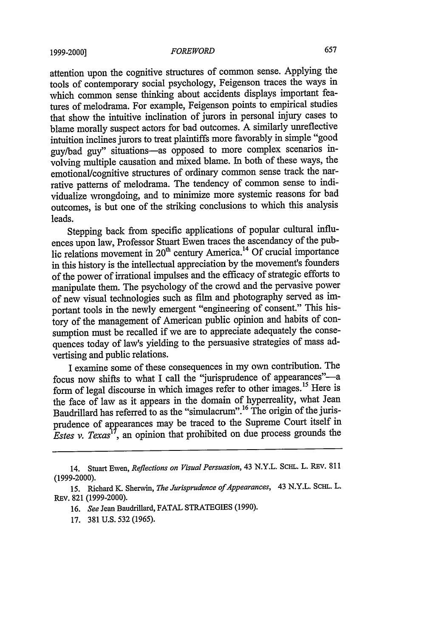#### **1999-2000]** *FOREWORD*

attention upon the cognitive structures of common sense. Applying the tools of contemporary social psychology, Feigenson traces the ways in which common sense thinking about accidents displays important features of melodrama. For example, Feigenson points to empirical studies that show the intuitive inclination of jurors in personal injury cases to blame morally suspect actors for bad outcomes. A similarly unreflective intuition inclines jurors to treat plaintiffs more favorably in simple "good guy/bad guy" situations-as opposed to more complex scenarios involving multiple causation and mixed blame. In both of these ways, the emotional/cognitive structures of ordinary common sense track the narrative patterns of melodrama. The tendency of common sense to individualize wrongdoing, and to minimize more systemic reasons for bad outcomes, is but one of the striking conclusions to which this analysis leads.

Stepping back from specific applications of popular cultural influences upon law, Professor Stuart Ewen traces the ascendancy of the public relations movement in  $20<sup>th</sup>$  century America.<sup>14</sup> Of crucial importance in this history is the intellectual appreciation by the movement's founders of the power of irrational impulses and the efficacy of strategic efforts to manipulate them. The psychology of the crowd and the pervasive power of new visual technologies such as film and photography served as important tools in the newly emergent "engineering of consent." This history of the management of American public opinion and habits of consumption must be recalled if we are to appreciate adequately the consequences today of law's yielding to the persuasive strategies of mass advertising and public relations.

I examine some of these consequences in my own contribution. The focus now shifts to what I call the "jurisprudence of appearances"--a form of legal discourse in which images refer to other images. 15 Here is the face of law as it appears in the domain of hyperreality, what Jean Baudrillard has referred to as the "simulacrum".<sup>16</sup> The origin of the jurisprudence of appearances may be traced to the Supreme Court itself in *Estes v. Texas<sup>11</sup>*, an opinion that prohibited on due process grounds the

<sup>14.</sup> Stuart Ewen, *Reflections on Visual Persuasion,* 43 N.Y.L. **SCHL.** L. REV. **<sup>811</sup> (1999-2000).**

**<sup>15.</sup>** Richard **K.** Sherwin, *The Jurisprudence of Appearances,* 43 N.Y.L. **SCHL.** L. REV. **821 (1999-2000).**

**<sup>16.</sup>** *See* Jean Baudrillard, **FATAL STRATEGIES (1990).**

**<sup>17. 381</sup> U.S. 532 (1965).**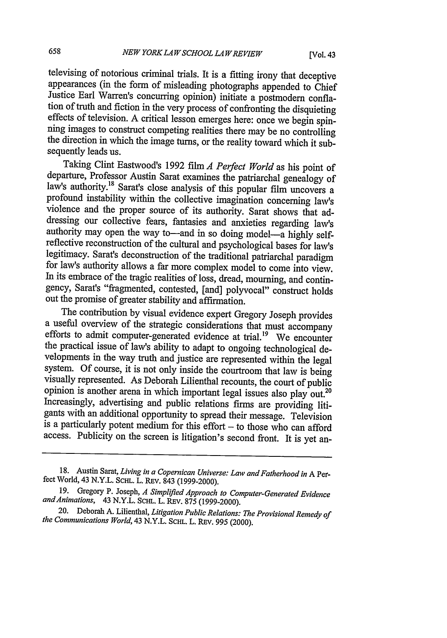televising of notorious criminal trials. It is a fitting irony that deceptive appearances (in the form of misleading photographs appended to Chief Justice Earl Warren's concurring opinion) initiate a postmodem conflaeffects of television. A critical lesson emerges here: once we begin spin-<br>ning images to construct competing realities there may be no controlling<br>the direction in which the image turns, or the reality toward which it sub sequently leads us.

Taking Clint Eastwood's 1992 film *A Perfect World* as his point of departure, Professor Austin Sarat examines the patriarchal genealogy of law's authority.<sup>18</sup> Sarat's close analysis of this popular film uncovers a profound instability within the collective imagination concerning law's violence and the proper source of its authority. Sarat shows that addressing our collective fears, fantasies and anxieties regarding law's authority may open the way to—and in so doing model—a highly selfreflective reconstruction of the cultural and psychological bases for law's legitimacy. Sarat's deconstruction of the traditional patriarchal paradigm for law's authority allows a far more complex model to come into view. In its embrace of the tragic realities of loss, dread, mourning, and contingency, Sarat's "fragmented, contested, [and] polyvocal" construct holds out the promise of greater stability and affirmation.

The contribution by visual evidence expert Gregory Joseph provides efforts to admit computer-generated evidence at trial.<sup>19</sup> We encounterthe practical issue of law's ability to adapt to ongoing technological developments in the way truth and justice are represented within the legal system. Of course, it is not only inside the courtroom that law is being<br>visually represented. As Deborah Lilienthal recounts, the court of public<br>opinion is another arena in which important legal issues also play out.<sup>20</sup> Increasingly, advertising and public relations firms are providing litigants with an additional opportunity to spread their message. Television is a particularly potent medium for this effort  $-$  to those who can afford access. Publicity on the screen is litigation's second front. It is yet an-

<sup>18.</sup> Austin Sarat, *Living in a Copernican Universe: Law and Fatherhood in* A Perfect World, 43 N.Y.L. SCHL. L. REV. 843 (1999-2000).

<sup>19.</sup> Gregory P. Joseph, *A Simplified Approach to Computer-Generated Evidence* and Animations, 43 N.Y.L. SCHL. L. REV. 875 (1999-2000).

<sup>20.</sup> Deborah A. Lilienthal, *Litigation Public Relations: The Provisional Remedy of the Communications World,* 43 N.Y.L. ScaL. L. REv. 995 (2000).